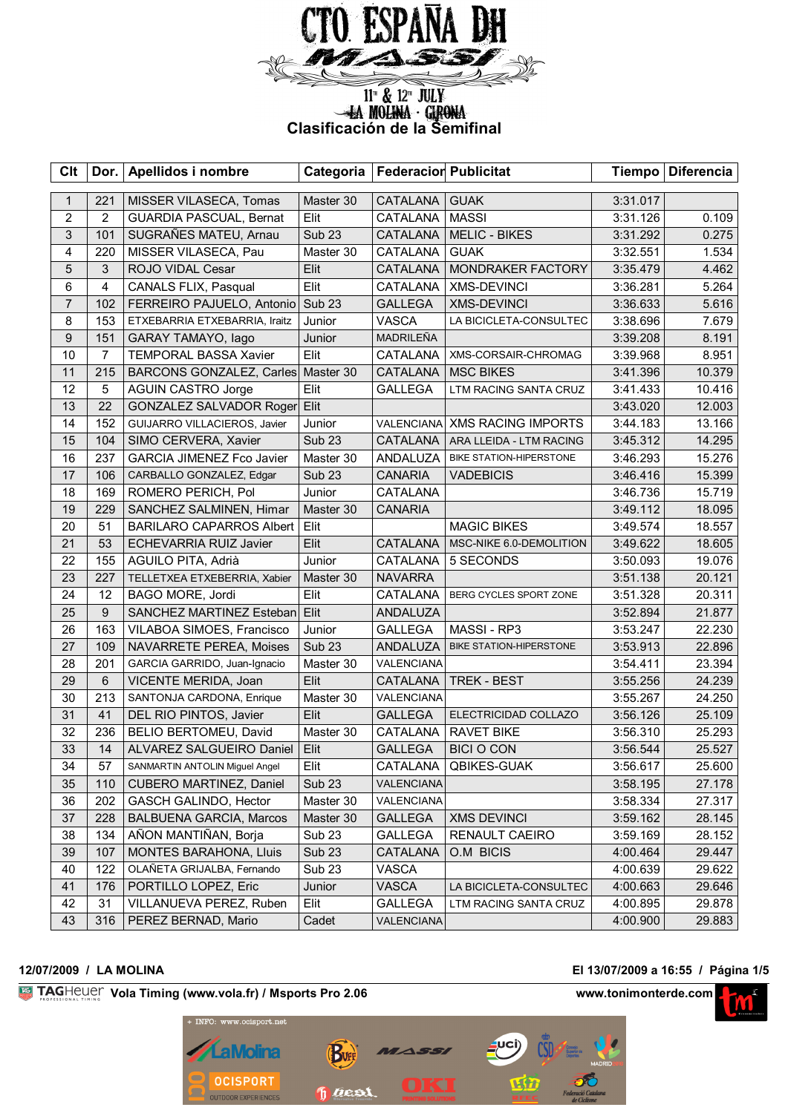

# <sup>11"</sup> & <sup>12"</sup> JULY<br> **Clasificación de la Semifinal**

| <b>Clt</b>     |                | Dor. Apellidos i nombre          | Categoria         | <b>Federacior Publicitat</b> |                                |          | Tiempo   Diferencia |
|----------------|----------------|----------------------------------|-------------------|------------------------------|--------------------------------|----------|---------------------|
| $\mathbf{1}$   | 221            | MISSER VILASECA, Tomas           | Master 30         | CATALANA                     | <b>GUAK</b>                    | 3:31.017 |                     |
| 2              | 2              | <b>GUARDIA PASCUAL, Bernat</b>   | Elit              | CATALANA                     | <b>MASSI</b>                   | 3:31.126 | 0.109               |
| $\mathfrak{S}$ | 101            | SUGRAÑES MATEU, Arnau            | <b>Sub 23</b>     | <b>CATALANA</b>              | <b>MELIC - BIKES</b>           | 3:31.292 | 0.275               |
| 4              | 220            | MISSER VILASECA, Pau             | Master 30         | CATALANA                     | <b>GUAK</b>                    | 3:32.551 | 1.534               |
| 5              | 3              | ROJO VIDAL Cesar                 | Elit              | CATALANA                     | MONDRAKER FACTORY              | 3:35.479 | 4.462               |
| 6              | $\overline{4}$ | CANALS FLIX, Pasqual             | Elit              | CATALANA                     | <b>XMS-DEVINCI</b>             | 3:36.281 | 5.264               |
| $\overline{7}$ | 102            | FERREIRO PAJUELO, Antonio        | Sub <sub>23</sub> | <b>GALLEGA</b>               | <b>XMS-DEVINCI</b>             | 3:36.633 | 5.616               |
| 8              | 153            | ETXEBARRIA ETXEBARRIA, Iraitz    | Junior            | <b>VASCA</b>                 | LA BICICLETA-CONSULTEC         | 3:38.696 | 7.679               |
| 9              | 151            | GARAY TAMAYO, lago               | Junior            | <b>MADRILEÑA</b>             |                                | 3:39.208 | 8.191               |
| 10             | $\overline{7}$ | <b>TEMPORAL BASSA Xavier</b>     | Elit              | CATALANA                     | XMS-CORSAIR-CHROMAG            | 3:39.968 | 8.951               |
| 11             | 215            | <b>BARCONS GONZALEZ, Carles</b>  | Master 30         | CATALANA                     | <b>MSC BIKES</b>               | 3:41.396 | 10.379              |
| 12             | 5              | <b>AGUIN CASTRO Jorge</b>        | Elit              | <b>GALLEGA</b>               | LTM RACING SANTA CRUZ          | 3:41.433 | 10.416              |
| 13             | 22             | GONZALEZ SALVADOR Roger          | Elit              |                              |                                | 3:43.020 | 12.003              |
| 14             | 152            | GUIJARRO VILLACIEROS, Javier     | Junior            | VALENCIANA                   | <b>XMS RACING IMPORTS</b>      | 3:44.183 | 13.166              |
| 15             | 104            | SIMO CERVERA, Xavier             | <b>Sub 23</b>     | <b>CATALANA</b>              | ARA LLEIDA - LTM RACING        | 3:45.312 | 14.295              |
| 16             | 237            | <b>GARCIA JIMENEZ Fco Javier</b> | Master 30         | ANDALUZA                     | BIKE STATION-HIPERSTONE        | 3:46.293 | 15.276              |
| 17             | 106            | CARBALLO GONZALEZ, Edgar         | <b>Sub 23</b>     | <b>CANARIA</b>               | <b>VADEBICIS</b>               | 3:46.416 | 15.399              |
| 18             | 169            | ROMERO PERICH, Pol               | Junior            | CATALANA                     |                                | 3:46.736 | 15.719              |
| 19             | 229            | SANCHEZ SALMINEN, Himar          | Master 30         | <b>CANARIA</b>               |                                | 3:49.112 | 18.095              |
| 20             | 51             | <b>BARILARO CAPARROS Albert</b>  | Elit              |                              | <b>MAGIC BIKES</b>             | 3:49.574 | 18.557              |
| 21             | 53             | <b>ECHEVARRIA RUIZ Javier</b>    | Elit              | CATALANA                     | MSC-NIKE 6.0-DEMOLITION        | 3:49.622 | 18.605              |
| 22             | 155            | AGUILO PITA, Adrià               | Junior            | CATALANA                     | 5 SECONDS                      | 3:50.093 | 19.076              |
| 23             | 227            | TELLETXEA ETXEBERRIA, Xabier     | Master 30         | <b>NAVARRA</b>               |                                | 3:51.138 | 20.121              |
| 24             | 12             | BAGO MORE, Jordi                 | Elit              | CATALANA                     | BERG CYCLES SPORT ZONE         | 3:51.328 | 20.311              |
| 25             | 9              | SANCHEZ MARTINEZ Esteban         | Elit              | ANDALUZA                     |                                | 3:52.894 | 21.877              |
| 26             | 163            | VILABOA SIMOES, Francisco        | Junior            | <b>GALLEGA</b>               | MASSI - RP3                    | 3:53.247 | 22.230              |
| 27             | 109            | NAVARRETE PEREA, Moises          | <b>Sub 23</b>     | ANDALUZA                     | <b>BIKE STATION-HIPERSTONE</b> | 3:53.913 | 22.896              |
| 28             | 201            | GARCIA GARRIDO, Juan-Ignacio     | Master 30         | VALENCIANA                   |                                | 3:54.411 | 23.394              |
| 29             | $6\phantom{1}$ | VICENTE MERIDA, Joan             | Elit              | CATALANA                     | TREK - BEST                    | 3:55.256 | 24.239              |
| 30             | 213            | SANTONJA CARDONA, Enrique        | Master 30         | VALENCIANA                   |                                | 3:55.267 | 24.250              |
| 31             | 41             | DEL RIO PINTOS, Javier           | Elit              | <b>GALLEGA</b>               | ELECTRICIDAD COLLAZO           | 3:56.126 | 25.109              |
| 32             | 236            | BELIO BERTOMEU, David            | Master 30         | CATALANA                     | <b>RAVET BIKE</b>              | 3:56.310 | 25.293              |
| 33             | 14             | ALVAREZ SALGUEIRO Daniel         | Elit              | <b>GALLEGA</b>               | <b>BICI O CON</b>              | 3:56.544 | 25.527              |
| 34             | 57             | SANMARTIN ANTOLIN Miguel Angel   | Elit              | CATALANA                     | QBIKES-GUAK                    | 3:56.617 | 25.600              |
| 35             | 110            | CUBERO MARTINEZ, Daniel          | <b>Sub 23</b>     | VALENCIANA                   |                                | 3:58.195 | 27.178              |
| 36             | 202            | GASCH GALINDO, Hector            | Master 30         | VALENCIANA                   |                                | 3:58.334 | 27.317              |
| 37             | 228            | <b>BALBUENA GARCIA, Marcos</b>   | Master 30         | <b>GALLEGA</b>               | <b>XMS DEVINCI</b>             | 3:59.162 | 28.145              |
| 38             | 134            | AÑON MANTIÑAN, Borja             | Sub <sub>23</sub> | <b>GALLEGA</b>               | RENAULT CAEIRO                 | 3:59.169 | 28.152              |
| 39             | 107            | <b>MONTES BARAHONA, Lluis</b>    | <b>Sub 23</b>     | CATALANA                     | O.M BICIS                      | 4:00.464 | 29.447              |
| 40             | 122            | OLAÑETA GRIJALBA, Fernando       | Sub <sub>23</sub> | <b>VASCA</b>                 |                                | 4:00.639 | 29.622              |
| 41             | 176            | PORTILLO LOPEZ, Eric             | Junior            | <b>VASCA</b>                 | LA BICICLETA-CONSULTEC         | 4:00.663 | 29.646              |
| 42             | 31             | VILLANUEVA PEREZ, Ruben          | Elit              | <b>GALLEGA</b>               | LTM RACING SANTA CRUZ          | 4:00.895 | 29.878              |
| 43             | 316            | PEREZ BERNAD, Mario              | Cadet             | VALENCIANA                   |                                | 4:00.900 | 29.883              |

# **12/07/2009 / LA MOLINA El 13/07/2009 a 16:55 / Página 1/5**

**Vola Timing (www.vola.fr) / Msports Pro 2.06 www.tonimonterde.com www.tonimonterde.com** 



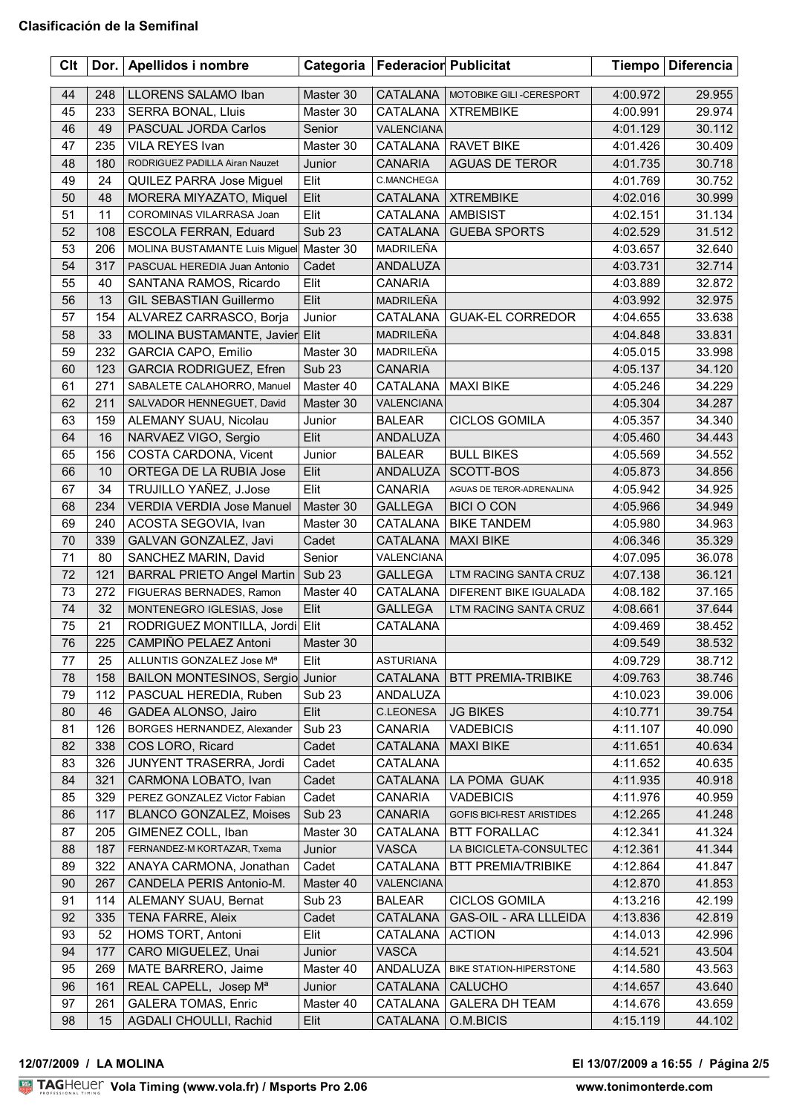| <b>Clt</b> |     | Dor.   Apellidos i nombre         | Categoria         | <b>Federacior Publicitat</b> |                                | <b>Tiempo</b> | <b>Diferencia</b> |
|------------|-----|-----------------------------------|-------------------|------------------------------|--------------------------------|---------------|-------------------|
| 44         | 248 | LLORENS SALAMO Iban               | Master 30         | CATALANA                     | MOTOBIKE GILI-CERESPORT        | 4:00.972      | 29.955            |
| 45         | 233 | <b>SERRA BONAL, Lluis</b>         | Master 30         | CATALANA                     | <b>XTREMBIKE</b>               | 4:00.991      | 29.974            |
| 46         | 49  | PASCUAL JORDA Carlos              | Senior            | <b>VALENCIANA</b>            |                                | 4:01.129      | 30.112            |
| 47         | 235 | VILA REYES Ivan                   | Master 30         | CATALANA                     | <b>RAVET BIKE</b>              | 4:01.426      | 30.409            |
| 48         | 180 | RODRIGUEZ PADILLA Airan Nauzet    | Junior            | <b>CANARIA</b>               | AGUAS DE TEROR                 | 4:01.735      | 30.718            |
| 49         | 24  | QUILEZ PARRA Jose Miguel          | Elit              | C.MANCHEGA                   |                                | 4:01.769      | 30.752            |
| 50         | 48  | MORERA MIYAZATO, Miquel           | Elit              | CATALANA                     | <b>XTREMBIKE</b>               | 4:02.016      | 30.999            |
| 51         | 11  | COROMINAS VILARRASA Joan          | Elit              | CATALANA                     | <b>AMBISIST</b>                | 4:02.151      | 31.134            |
| 52         | 108 | ESCOLA FERRAN, Eduard             | <b>Sub 23</b>     | CATALANA                     | <b>GUEBA SPORTS</b>            | 4:02.529      | 31.512            |
| 53         | 206 | MOLINA BUSTAMANTE Luis Miguel     | Master 30         | MADRILEÑA                    |                                | 4:03.657      | 32.640            |
| 54         | 317 | PASCUAL HEREDIA Juan Antonio      | Cadet             | ANDALUZA                     |                                | 4:03.731      | 32.714            |
| 55         | 40  | SANTANA RAMOS, Ricardo            | Elit              | <b>CANARIA</b>               |                                | 4:03.889      | 32.872            |
| 56         | 13  | GIL SEBASTIAN Guillermo           | Elit              | MADRILEÑA                    |                                | 4:03.992      | 32.975            |
| 57         | 154 | ALVAREZ CARRASCO, Borja           | Junior            | CATALANA                     | <b>GUAK-EL CORREDOR</b>        | 4:04.655      | 33.638            |
| 58         | 33  | MOLINA BUSTAMANTE, Javier Elit    |                   | <b>MADRILEÑA</b>             |                                | 4:04.848      | 33.831            |
| 59         | 232 | <b>GARCIA CAPO, Emilio</b>        | Master 30         | MADRILEÑA                    |                                | 4:05.015      | 33.998            |
| 60         | 123 | <b>GARCIA RODRIGUEZ, Efren</b>    | <b>Sub 23</b>     | <b>CANARIA</b>               |                                | 4:05.137      | 34.120            |
| 61         | 271 | SABALETE CALAHORRO, Manuel        | Master 40         | CATALANA                     | <b>MAXI BIKE</b>               | 4:05.246      | 34.229            |
| 62         | 211 | SALVADOR HENNEGUET, David         | Master 30         | VALENCIANA                   |                                | 4:05.304      | 34.287            |
| 63         | 159 | ALEMANY SUAU, Nicolau             | Junior            | <b>BALEAR</b>                | <b>CICLOS GOMILA</b>           | 4:05.357      | 34.340            |
| 64         | 16  | NARVAEZ VIGO, Sergio              | Elit              | ANDALUZA                     |                                | 4:05.460      | 34.443            |
| 65         | 156 | COSTA CARDONA, Vicent             |                   |                              |                                |               |                   |
| 66         | 10  | ORTEGA DE LA RUBIA Jose           | Junior<br>Elit    | <b>BALEAR</b><br>ANDALUZA    | <b>BULL BIKES</b><br>SCOTT-BOS | 4:05.569      | 34.552            |
|            |     |                                   |                   |                              |                                | 4:05.873      | 34.856            |
| 67         | 34  | TRUJILLO YAÑEZ, J.Jose            | Elit              | <b>CANARIA</b>               | AGUAS DE TEROR-ADRENALINA      | 4:05.942      | 34.925            |
| 68         | 234 | VERDIA VERDIA Jose Manuel         | Master 30         | <b>GALLEGA</b>               | <b>BICI O CON</b>              | 4:05.966      | 34.949            |
| 69         | 240 | ACOSTA SEGOVIA, Ivan              | Master 30         | CATALANA                     | <b>BIKE TANDEM</b>             | 4:05.980      | 34.963            |
| 70         | 339 | GALVAN GONZALEZ, Javi             | Cadet             | CATALANA                     | <b>MAXI BIKE</b>               | 4:06.346      | 35.329            |
| 71         | 80  | SANCHEZ MARIN, David              | Senior            | VALENCIANA                   |                                | 4:07.095      | 36.078            |
| 72         | 121 | <b>BARRAL PRIETO Angel Martin</b> | Sub <sub>23</sub> | <b>GALLEGA</b>               | LTM RACING SANTA CRUZ          | 4:07.138      | 36.121            |
| 73         | 272 | FIGUERAS BERNADES, Ramon          | Master 40         | CATALANA                     | DIFERENT BIKE IGUALADA         | 4:08.182      | 37.165            |
| 74         | 32  | MONTENEGRO IGLESIAS, Jose         | Elit              | <b>GALLEGA</b>               | LTM RACING SANTA CRUZ          | 4:08.661      | 37.644            |
| 75         | 21  | RODRIGUEZ MONTILLA, Jordi Elit    |                   | CATALANA                     |                                | 4:09.469      | 38.452            |
| 76         | 225 | CAMPIÑO PELAEZ Antoni             | Master 30         |                              |                                | 4:09.549      | 38.532            |
| 77         | 25  | ALLUNTIS GONZALEZ Jose Mª         | Elit              | <b>ASTURIANA</b>             |                                | 4:09.729      | 38.712            |
| 78         | 158 | <b>BAILON MONTESINOS, Sergio</b>  | Junior            | CATALANA                     | <b>BTT PREMIA-TRIBIKE</b>      | 4:09.763      | 38.746            |
| 79         | 112 | PASCUAL HEREDIA, Ruben            | Sub <sub>23</sub> | ANDALUZA                     |                                | 4:10.023      | 39.006            |
| 80         | 46  | GADEA ALONSO, Jairo               | Elit              | <b>C.LEONESA</b>             | <b>JG BIKES</b>                | 4:10.771      | 39.754            |
| 81         | 126 | BORGES HERNANDEZ, Alexander       | Sub <sub>23</sub> | <b>CANARIA</b>               | <b>VADEBICIS</b>               | 4:11.107      | 40.090            |
| 82         | 338 | COS LORO, Ricard                  | Cadet             | CATALANA                     | <b>MAXI BIKE</b>               | 4:11.651      | 40.634            |
| 83         | 326 | JUNYENT TRASERRA, Jordi           | Cadet             | CATALANA                     |                                | 4:11.652      | 40.635            |
| 84         | 321 | CARMONA LOBATO, Ivan              | Cadet             | CATALANA                     | LA POMA GUAK                   | 4:11.935      | 40.918            |
| 85         | 329 | PEREZ GONZALEZ Victor Fabian      | Cadet             | <b>CANARIA</b>               | <b>VADEBICIS</b>               | 4:11.976      | 40.959            |
| 86         | 117 | <b>BLANCO GONZALEZ, Moises</b>    | Sub <sub>23</sub> | <b>CANARIA</b>               | GOFIS BICI-REST ARISTIDES      | 4:12.265      | 41.248            |
| 87         | 205 | GIMENEZ COLL, Iban                | Master 30         | CATALANA                     | <b>BTT FORALLAC</b>            | 4:12.341      | 41.324            |
| 88         | 187 | FERNANDEZ-M KORTAZAR, Txema       | Junior            | <b>VASCA</b>                 | LA BICICLETA-CONSULTEC         | 4:12.361      | 41.344            |
| 89         | 322 | ANAYA CARMONA, Jonathan           | Cadet             | CATALANA                     | <b>BTT PREMIA/TRIBIKE</b>      | 4:12.864      | 41.847            |
| 90         | 267 | CANDELA PERIS Antonio-M.          | Master 40         | VALENCIANA                   |                                | 4:12.870      | 41.853            |
| 91         | 114 | ALEMANY SUAU, Bernat              | Sub <sub>23</sub> | <b>BALEAR</b>                | <b>CICLOS GOMILA</b>           | 4:13.216      | 42.199            |
| 92         | 335 | TENA FARRE, Aleix                 | Cadet             | CATALANA                     | <b>GAS-OIL - ARA LLLEIDA</b>   | 4:13.836      | 42.819            |
| 93         | 52  | HOMS TORT, Antoni                 | Elit              | CATALANA                     | <b>ACTION</b>                  | 4:14.013      | 42.996            |
| 94         | 177 | CARO MIGUELEZ, Unai               | Junior            | <b>VASCA</b>                 |                                | 4:14.521      | 43.504            |
| 95         | 269 | MATE BARRERO, Jaime               | Master 40         | ANDALUZA                     | BIKE STATION-HIPERSTONE        | 4:14.580      | 43.563            |
| 96         | 161 | REAL CAPELL, Josep M <sup>a</sup> | Junior            | CATALANA                     | <b>CALUCHO</b>                 | 4:14.657      | 43.640            |
| 97         | 261 | <b>GALERA TOMAS, Enric</b>        | Master 40         | CATALANA                     | <b>GALERA DH TEAM</b>          | 4:14.676      | 43.659            |
| 98         | 15  | AGDALI CHOULLI, Rachid            | Elit              | CATALANA                     | O.M.BICIS                      | 4:15.119      | 44.102            |
|            |     |                                   |                   |                              |                                |               |                   |

## <u>Volanda Volanda est</u> **12/07/2009 / LA MOLINA El 13/07/2009 a 16:55 / Página 2/5**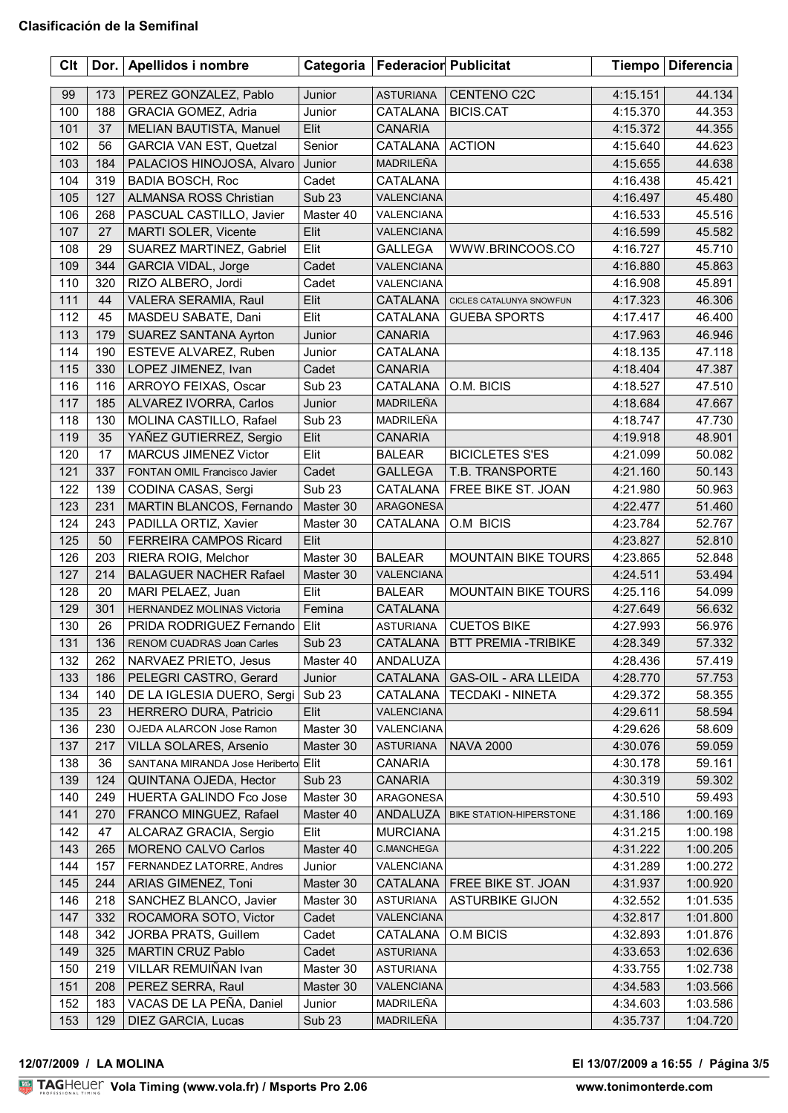| Clt | Dor. $ $ | Apellidos i nombre                  | Categoria         | <b>Federacior Publicitat</b> |                                | <b>Tiempo</b> | <b>Diferencia</b> |
|-----|----------|-------------------------------------|-------------------|------------------------------|--------------------------------|---------------|-------------------|
| 99  | 173      | PEREZ GONZALEZ, Pablo               | Junior            | <b>ASTURIANA</b>             | CENTENO C2C                    | 4:15.151      | 44.134            |
| 100 | 188      | GRACIA GOMEZ, Adria                 | Junior            | <b>CATALANA</b>              | <b>BICIS.CAT</b>               | 4:15.370      | 44.353            |
| 101 | 37       | MELIAN BAUTISTA, Manuel             | Elit              | <b>CANARIA</b>               |                                | 4:15.372      | 44.355            |
| 102 | 56       | <b>GARCIA VAN EST, Quetzal</b>      | Senior            | CATALANA                     | <b>ACTION</b>                  | 4:15.640      | 44.623            |
| 103 | 184      | PALACIOS HINOJOSA, Alvaro           | Junior            | MADRILEÑA                    |                                | 4:15.655      | 44.638            |
| 104 | 319      | <b>BADIA BOSCH, Roc</b>             | Cadet             | CATALANA                     |                                | 4:16.438      | 45.421            |
| 105 | 127      | <b>ALMANSA ROSS Christian</b>       | Sub <sub>23</sub> | VALENCIANA                   |                                | 4:16.497      | 45.480            |
| 106 | 268      | PASCUAL CASTILLO, Javier            | Master 40         | VALENCIANA                   |                                | 4:16.533      | 45.516            |
| 107 | 27       | MARTI SOLER, Vicente                | Elit              | VALENCIANA                   |                                | 4:16.599      | 45.582            |
| 108 | 29       | SUAREZ MARTINEZ, Gabriel            | Elit              | <b>GALLEGA</b>               | WWW.BRINCOOS.CO                | 4:16.727      | 45.710            |
| 109 | 344      | <b>GARCIA VIDAL, Jorge</b>          | Cadet             | <b>VALENCIANA</b>            |                                | 4:16.880      | 45.863            |
| 110 | 320      | RIZO ALBERO, Jordi                  | Cadet             | VALENCIANA                   |                                | 4:16.908      | 45.891            |
| 111 | 44       | VALERA SERAMIA, Raul                | Elit              | CATALANA                     | CICLES CATALUNYA SNOWFUN       | 4:17.323      | 46.306            |
| 112 | 45       | MASDEU SABATE, Dani                 | Elit              | <b>CATALANA</b>              | <b>GUEBA SPORTS</b>            | 4:17.417      | 46.400            |
| 113 | 179      | <b>SUAREZ SANTANA Ayrton</b>        | Junior            | <b>CANARIA</b>               |                                | 4:17.963      | 46.946            |
| 114 | 190      | ESTEVE ALVAREZ, Ruben               | Junior            | CATALANA                     |                                | 4:18.135      | 47.118            |
| 115 | 330      | LOPEZ JIMENEZ, Ivan                 | Cadet             | <b>CANARIA</b>               |                                | 4:18.404      | 47.387            |
| 116 | 116      | ARROYO FEIXAS, Oscar                | Sub <sub>23</sub> | <b>CATALANA</b>              | O.M. BICIS                     | 4:18.527      | 47.510            |
| 117 | 185      | ALVAREZ IVORRA, Carlos              | Junior            | MADRILEÑA                    |                                | 4:18.684      | 47.667            |
| 118 | 130      | MOLINA CASTILLO, Rafael             | Sub <sub>23</sub> | MADRILEÑA                    |                                | 4:18.747      | 47.730            |
| 119 | 35       | YAÑEZ GUTIERREZ, Sergio             | Elit              | <b>CANARIA</b>               |                                | 4:19.918      | 48.901            |
|     | 17       | MARCUS JIMENEZ Victor               |                   |                              |                                |               |                   |
| 120 |          |                                     | Elit              | <b>BALEAR</b>                | <b>BICICLETES S'ES</b>         | 4:21.099      | 50.082            |
| 121 | 337      | FONTAN OMIL Francisco Javier        | Cadet             | <b>GALLEGA</b>               | T.B. TRANSPORTE                | 4:21.160      | 50.143            |
| 122 | 139      | CODINA CASAS, Sergi                 | Sub <sub>23</sub> | CATALANA                     | FREE BIKE ST. JOAN             | 4:21.980      | 50.963            |
| 123 | 231      | MARTIN BLANCOS, Fernando            | Master 30         | <b>ARAGONESA</b>             |                                | 4:22.477      | 51.460            |
| 124 | 243      | PADILLA ORTIZ, Xavier               | Master 30         | CATALANA                     | O.M BICIS                      | 4:23.784      | 52.767            |
| 125 | 50       | <b>FERREIRA CAMPOS Ricard</b>       | Elit              |                              |                                | 4:23.827      | 52.810            |
| 126 | 203      | RIERA ROIG, Melchor                 | Master 30         | <b>BALEAR</b>                | <b>MOUNTAIN BIKE TOURS</b>     | 4:23.865      | 52.848            |
| 127 | 214      | <b>BALAGUER NACHER Rafael</b>       | Master 30         | VALENCIANA                   |                                | 4:24.511      | 53.494            |
| 128 | 20       | MARI PELAEZ, Juan                   | Elit              | <b>BALEAR</b>                | <b>MOUNTAIN BIKE TOURS</b>     | 4:25.116      | 54.099            |
| 129 | 301      | HERNANDEZ MOLINAS Victoria          | Femina            | CATALANA                     |                                | 4:27.649      | 56.632            |
| 130 | 26       | PRIDA RODRIGUEZ Fernando            | Elit              | <b>ASTURIANA</b>             | <b>CUETOS BIKE</b>             | 4:27.993      | 56.976            |
| 131 | 136      | RENOM CUADRAS Joan Carles           | <b>Sub 23</b>     |                              | CATALANA   BTT PREMIA -TRIBIKE | 4:28.349      | 57.332            |
| 132 | 262      | NARVAEZ PRIETO, Jesus               | Master 40         | ANDALUZA                     |                                | 4:28.436      | 57.419            |
| 133 | 186      | PELEGRI CASTRO, Gerard              | Junior            | <b>CATALANA</b>              | GAS-OIL - ARA LLEIDA           | 4:28.770      | 57.753            |
| 134 | 140      | DE LA IGLESIA DUERO, Sergi          | Sub <sub>23</sub> | CATALANA                     | <b>TECDAKI - NINETA</b>        | 4:29.372      | 58.355            |
| 135 | 23       | HERRERO DURA, Patricio              | Elit              | VALENCIANA                   |                                | 4:29.611      | 58.594            |
| 136 | 230      | OJEDA ALARCON Jose Ramon            | Master 30         | VALENCIANA                   |                                | 4:29.626      | 58.609            |
| 137 | 217      | VILLA SOLARES, Arsenio              | Master 30         | <b>ASTURIANA</b>             | <b>NAVA 2000</b>               | 4:30.076      | 59.059            |
| 138 | 36       | SANTANA MIRANDA Jose Heriberto Elit |                   | CANARIA                      |                                | 4:30.178      | 59.161            |
| 139 | 124      | QUINTANA OJEDA, Hector              | <b>Sub 23</b>     | <b>CANARIA</b>               |                                | 4:30.319      | 59.302            |
| 140 | 249      | HUERTA GALINDO Fco Jose             | Master 30         | ARAGONESA                    |                                | 4:30.510      | 59.493            |
| 141 | 270      | FRANCO MINGUEZ, Rafael              | Master 40         | ANDALUZA                     | BIKE STATION-HIPERSTONE        | 4:31.186      | 1:00.169          |
| 142 | 47       | ALCARAZ GRACIA, Sergio              | Elit              | <b>MURCIANA</b>              |                                | 4:31.215      | 1:00.198          |
| 143 | 265      | MORENO CALVO Carlos                 | Master 40         | C.MANCHEGA                   |                                | 4:31.222      | 1:00.205          |
| 144 | 157      | FERNANDEZ LATORRE, Andres           | Junior            | VALENCIANA                   |                                | 4:31.289      | 1:00.272          |
| 145 | 244      | ARIAS GIMENEZ, Toni                 | Master 30         | CATALANA                     | FREE BIKE ST. JOAN             | 4:31.937      | 1:00.920          |
| 146 | 218      | SANCHEZ BLANCO, Javier              | Master 30         | <b>ASTURIANA</b>             | <b>ASTURBIKE GIJON</b>         | 4:32.552      | 1:01.535          |
| 147 | 332      | ROCAMORA SOTO, Victor               | Cadet             | VALENCIANA                   |                                | 4:32.817      | 1:01.800          |
| 148 | 342      | JORBA PRATS, Guillem                | Cadet             | CATALANA                     | O.M BICIS                      | 4:32.893      | 1:01.876          |
| 149 | 325      | <b>MARTIN CRUZ Pablo</b>            | Cadet             | <b>ASTURIANA</b>             |                                | 4:33.653      | 1:02.636          |
| 150 | 219      | VILLAR REMUIÑAN Ivan                | Master 30         | <b>ASTURIANA</b>             |                                | 4:33.755      | 1:02.738          |
| 151 | 208      | PEREZ SERRA, Raul                   | Master 30         | <b>VALENCIANA</b>            |                                | 4:34.583      | 1:03.566          |
| 152 | 183      | VACAS DE LA PEÑA, Daniel            | Junior            | MADRILEÑA                    |                                | 4:34.603      | 1:03.586          |
| 153 | 129      | DIEZ GARCIA, Lucas                  | <b>Sub 23</b>     | MADRILEÑA                    |                                | 4:35.737      | 1:04.720          |

## **12/07/2009 / LA MOLINA El 13/07/2009 a 16:55 / Página 3/5**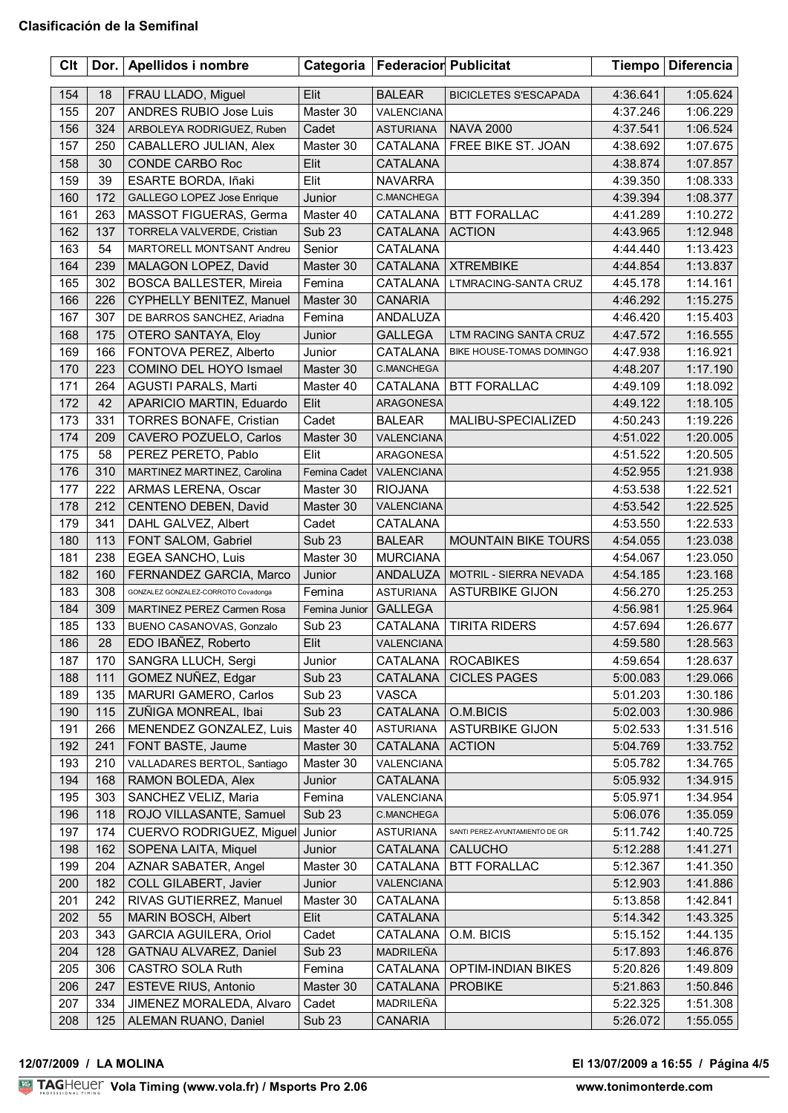| Clt |     | Dor.   Apellidos i nombre           | Categoria         | <b>Federacior Publicitat</b> |                                | <b>Tiempo</b> | <b>Diferencia</b> |
|-----|-----|-------------------------------------|-------------------|------------------------------|--------------------------------|---------------|-------------------|
| 154 | 18  | FRAU LLADO, Miguel                  | Elit              | <b>BALEAR</b>                | <b>BICICLETES S'ESCAPADA</b>   | 4:36.641      | 1:05.624          |
| 155 | 207 | <b>ANDRES RUBIO Jose Luis</b>       | Master 30         | VALENCIANA                   |                                | 4:37.246      | 1:06.229          |
| 156 | 324 | ARBOLEYA RODRIGUEZ, Ruben           | Cadet             | ASTURIANA                    | <b>NAVA 2000</b>               | 4:37.541      | 1:06.524          |
| 157 | 250 | CABALLERO JULIAN, Alex              | Master 30         | <b>CATALANA</b>              | FREE BIKE ST. JOAN             | 4:38.692      | 1:07.675          |
| 158 | 30  | CONDE CARBO Roc                     | Elit              | CATALANA                     |                                | 4:38.874      | 1:07.857          |
| 159 | 39  | ESARTE BORDA, Iñaki                 | Elit              | <b>NAVARRA</b>               |                                | 4:39.350      | 1:08.333          |
| 160 | 172 | GALLEGO LOPEZ Jose Enrique          | Junior            | <b>C.MANCHEGA</b>            |                                | 4:39.394      | 1:08.377          |
| 161 | 263 | MASSOT FIGUERAS, Germa              | Master 40         |                              | CATALANA   BTT FORALLAC        | 4:41.289      | 1:10.272          |
| 162 | 137 | TORRELA VALVERDE, Cristian          | Sub <sub>23</sub> | <b>CATALANA</b>              | <b>ACTION</b>                  | 4:43.965      | 1:12.948          |
| 163 | 54  | MARTORELL MONTSANT Andreu           | Senior            | CATALANA                     |                                | 4:44.440      | 1:13.423          |
| 164 | 239 | MALAGON LOPEZ, David                | Master 30         |                              | CATALANA   XTREMBIKE           | 4:44.854      | 1:13.837          |
| 165 | 302 | <b>BOSCA BALLESTER, Mireia</b>      | Femina            | CATALANA                     | LTMRACING-SANTA CRUZ           | 4:45.178      | 1:14.161          |
| 166 | 226 | CYPHELLY BENITEZ, Manuel            | Master 30         | <b>CANARIA</b>               |                                | 4:46.292      | 1:15.275          |
| 167 | 307 | DE BARROS SANCHEZ, Ariadna          | Femina            | ANDALUZA                     |                                | 4:46.420      | 1:15.403          |
| 168 | 175 | OTERO SANTAYA, Eloy                 | Junior            | <b>GALLEGA</b>               | LTM RACING SANTA CRUZ          | 4:47.572      | 1:16.555          |
| 169 | 166 | FONTOVA PEREZ, Alberto              | Junior            | CATALANA                     | BIKE HOUSE-TOMAS DOMINGO       | 4:47.938      | 1:16.921          |
| 170 | 223 | COMINO DEL HOYO Ismael              | Master 30         | C.MANCHEGA                   |                                | 4:48.207      | 1:17.190          |
| 171 | 264 | AGUSTI PARALS, Marti                | Master 40         | CATALANA                     | <b>BTT FORALLAC</b>            | 4:49.109      | 1:18.092          |
| 172 | 42  | APARICIO MARTIN, Eduardo            | Elit              | ARAGONESA                    |                                | 4:49.122      | 1:18.105          |
| 173 | 331 | <b>TORRES BONAFE, Cristian</b>      | Cadet             | <b>BALEAR</b>                | MALIBU-SPECIALIZED             | 4:50.243      | 1:19.226          |
| 174 | 209 | CAVERO POZUELO, Carlos              | Master 30         | <b>VALENCIANA</b>            |                                | 4:51.022      | 1:20.005          |
| 175 | 58  | PEREZ PERETO, Pablo                 | Elit              | ARAGONESA                    |                                | 4:51.522      | 1:20.505          |
| 176 | 310 | MARTINEZ MARTINEZ, Carolina         | Femina Cadet      | VALENCIANA                   |                                | 4:52.955      | 1:21.938          |
| 177 | 222 | ARMAS LERENA, Oscar                 | Master 30         | <b>RIOJANA</b>               |                                | 4:53.538      | 1:22.521          |
| 178 | 212 | CENTENO DEBEN, David                | Master 30         | VALENCIANA                   |                                | 4:53.542      | 1:22.525          |
| 179 | 341 | DAHL GALVEZ, Albert                 | Cadet             | CATALANA                     |                                | 4:53.550      | 1:22.533          |
| 180 | 113 | FONT SALOM, Gabriel                 | <b>Sub 23</b>     | <b>BALEAR</b>                | <b>MOUNTAIN BIKE TOURS</b>     | 4:54.055      | 1:23.038          |
| 181 | 238 | EGEA SANCHO, Luis                   | Master 30         | <b>MURCIANA</b>              |                                | 4:54.067      | 1:23.050          |
| 182 | 160 | FERNANDEZ GARCIA, Marco             | Junior            | ANDALUZA                     | MOTRIL - SIERRA NEVADA         | 4:54.185      | 1:23.168          |
| 183 | 308 | GONZALEZ GONZALEZ-CORROTO Covadonga | Femina            | <b>ASTURIANA</b>             | <b>ASTURBIKE GIJON</b>         | 4:56.270      | 1:25.253          |
| 184 | 309 | MARTINEZ PEREZ Carmen Rosa          | Femina Junior     | <b>GALLEGA</b>               |                                | 4:56.981      | 1:25.964          |
| 185 | 133 | BUENO CASANOVAS, Gonzalo            | Sub <sub>23</sub> | CATALANA                     | <b>TIRITA RIDERS</b>           | 4:57.694      | 1:26.677          |
| 186 | 28  | EDO IBAÑEZ, Roberto                 | Elit              | VALENCIANA                   |                                | 4:59.580      | 1:28.563          |
| 187 | 170 | SANGRA LLUCH, Sergi                 | Junior            | CATALANA                     | <b>ROCABIKES</b>               | 4:59.654      | 1:28.637          |
| 188 | 111 | GOMEZ NUÑEZ, Edgar                  | <b>Sub 23</b>     | CATALANA                     | <b>CICLES PAGES</b>            | 5:00.083      | 1:29.066          |
| 189 | 135 | MARURI GAMERO, Carlos               | Sub <sub>23</sub> | VASCA                        |                                | 5:01.203      | 1:30.186          |
| 190 | 115 | ZUÑIGA MONREAL, Ibai                | <b>Sub 23</b>     | <b>CATALANA</b>              | O.M.BICIS                      | 5:02.003      | 1:30.986          |
| 191 | 266 | MENENDEZ GONZALEZ, Luis             | Master 40         | <b>ASTURIANA</b>             | <b>ASTURBIKE GIJON</b>         | 5:02.533      | 1:31.516          |
| 192 | 241 | FONT BASTE, Jaume                   | Master 30         | <b>CATALANA</b>              | <b>ACTION</b>                  | 5:04.769      | 1:33.752          |
| 193 | 210 | VALLADARES BERTOL, Santiago         | Master 30         | VALENCIANA                   |                                | 5:05.782      | 1:34.765          |
| 194 | 168 | RAMON BOLEDA, Alex                  | Junior            | CATALANA                     |                                | 5:05.932      | 1:34.915          |
| 195 | 303 | SANCHEZ VELIZ, Maria                | Femina            | VALENCIANA                   |                                | 5:05.971      | 1:34.954          |
| 196 | 118 | ROJO VILLASANTE, Samuel             | Sub <sub>23</sub> | C.MANCHEGA                   |                                | 5:06.076      | 1:35.059          |
| 197 | 174 | CUERVO RODRIGUEZ, Miguel            | Junior            | <b>ASTURIANA</b>             | SANTI PEREZ-AYUNTAMIENTO DE GR | 5:11.742      | 1:40.725          |
| 198 | 162 | SOPENA LAITA, Miquel                | Junior            | <b>CATALANA</b>              | <b>CALUCHO</b>                 | 5:12.288      | 1:41.271          |
| 199 | 204 | AZNAR SABATER, Angel                | Master 30         | CATALANA                     | <b>BTT FORALLAC</b>            | 5:12.367      | 1:41.350          |
| 200 | 182 | COLL GILABERT, Javier               | Junior            | VALENCIANA                   |                                | 5:12.903      | 1:41.886          |
| 201 | 242 | RIVAS GUTIERREZ, Manuel             | Master 30         | CATALANA                     |                                | 5:13.858      | 1:42.841          |
| 202 | 55  | MARIN BOSCH, Albert                 | Elit              | CATALANA                     |                                | 5:14.342      | 1:43.325          |
| 203 | 343 | <b>GARCIA AGUILERA, Oriol</b>       | Cadet             | CATALANA                     | O.M. BICIS                     | 5:15.152      | 1:44.135          |
| 204 | 128 | GATNAU ALVAREZ, Daniel              | <b>Sub 23</b>     | MADRILEÑA                    |                                | 5:17.893      | 1:46.876          |
| 205 | 306 | CASTRO SOLA Ruth                    | Femina            | CATALANA                     | <b>OPTIM-INDIAN BIKES</b>      | 5:20.826      | 1:49.809          |
| 206 | 247 | <b>ESTEVE RIUS, Antonio</b>         | Master 30         | CATALANA                     | <b>PROBIKE</b>                 | 5:21.863      | 1:50.846          |
| 207 | 334 | JIMENEZ MORALEDA, Alvaro            | Cadet             | MADRILEÑA                    |                                | 5:22.325      | 1:51.308          |
| 208 | 125 | ALEMAN RUANO, Daniel                | <b>Sub 23</b>     | <b>CANARIA</b>               |                                | 5:26.072      | 1:55.055          |
|     |     |                                     |                   |                              |                                |               |                   |

## <u>Volanda Volanda est</u> **12/07/2009 / LA MOLINA El 13/07/2009 a 16:55 / Página 4/5**